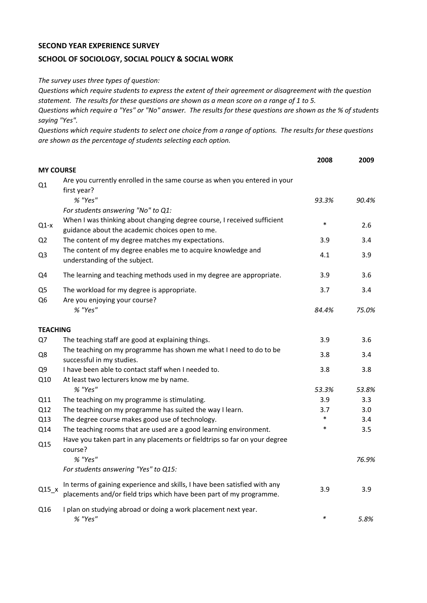## **SECOND YEAR EXPERIENCE SURVEY**

## **SCHOOL OF SOCIOLOGY, SOCIAL POLICY & SOCIAL WORK**

*The survey uses three types of question:*

*Questions which require students to express the extent of their agreement or disagreement with the question statement. The results for these questions are shown as a mean score on a range of 1 to 5.*

*Questions which require a "Yes" or "No" answer. The results for these questions are shown as the % of students saying "Yes".*

*Questions which require students to select one choice from a range of options. The results for these questions are shown as the percentage of students selecting each option.*

|                                  |                                                                                                                                                  | 2008   | 2009  |
|----------------------------------|--------------------------------------------------------------------------------------------------------------------------------------------------|--------|-------|
| <b>MY COURSE</b>                 |                                                                                                                                                  |        |       |
| Q1                               | Are you currently enrolled in the same course as when you entered in your<br>first year?                                                         |        |       |
|                                  | % "Yes"                                                                                                                                          | 93.3%  | 90.4% |
|                                  | For students answering "No" to Q1:                                                                                                               |        |       |
| $Q1-x$                           | When I was thinking about changing degree course, I received sufficient<br>guidance about the academic choices open to me.                       | $\ast$ | 2.6   |
| Q <sub>2</sub>                   | The content of my degree matches my expectations.                                                                                                | 3.9    | 3.4   |
| Q <sub>3</sub>                   | The content of my degree enables me to acquire knowledge and<br>understanding of the subject.                                                    | 4.1    | 3.9   |
| Q4                               | The learning and teaching methods used in my degree are appropriate.                                                                             | 3.9    | 3.6   |
| Q <sub>5</sub><br>Q <sub>6</sub> | The workload for my degree is appropriate.<br>Are you enjoying your course?                                                                      | 3.7    | 3.4   |
|                                  | % "Yes"                                                                                                                                          | 84.4%  | 75.0% |
| <b>TEACHING</b>                  |                                                                                                                                                  |        |       |
| Q7                               | The teaching staff are good at explaining things.                                                                                                | 3.9    | 3.6   |
| Q8                               | The teaching on my programme has shown me what I need to do to be<br>successful in my studies.                                                   | 3.8    | 3.4   |
| Q <sub>9</sub>                   | I have been able to contact staff when I needed to.                                                                                              | 3.8    | 3.8   |
| Q10                              | At least two lecturers know me by name.                                                                                                          |        |       |
|                                  | % "Yes"                                                                                                                                          | 53.3%  | 53.8% |
| Q11                              | The teaching on my programme is stimulating.                                                                                                     | 3.9    | 3.3   |
| Q12                              | The teaching on my programme has suited the way I learn.                                                                                         | 3.7    | 3.0   |
| Q13                              | The degree course makes good use of technology.                                                                                                  | $\ast$ | 3.4   |
| Q14                              | The teaching rooms that are used are a good learning environment.                                                                                | $\ast$ | 3.5   |
| Q15                              | Have you taken part in any placements or fieldtrips so far on your degree<br>course?                                                             |        |       |
|                                  | % "Yes"                                                                                                                                          |        | 76.9% |
|                                  | For students answering "Yes" to Q15:                                                                                                             |        |       |
| $Q15_x$                          | In terms of gaining experience and skills, I have been satisfied with any<br>placements and/or field trips which have been part of my programme. | 3.9    | 3.9   |
| Q16                              | I plan on studying abroad or doing a work placement next year.<br>% "Yes"                                                                        | $\ast$ | 5.8%  |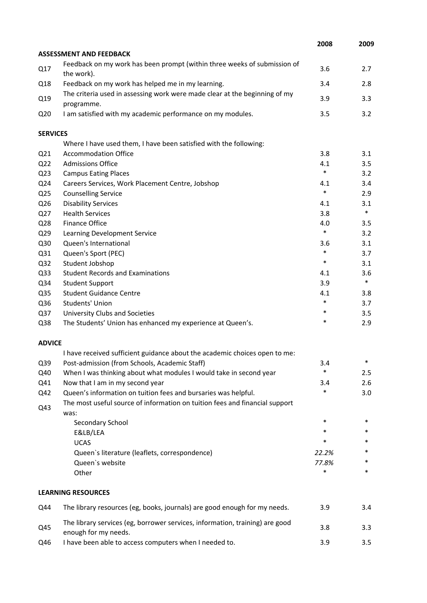|                 |                                                                                                      | 2008   | 2009   |
|-----------------|------------------------------------------------------------------------------------------------------|--------|--------|
|                 | <b>ASSESSMENT AND FEEDBACK</b>                                                                       |        |        |
| Q17             | Feedback on my work has been prompt (within three weeks of submission of<br>the work).               | 3.6    | 2.7    |
| Q18             | Feedback on my work has helped me in my learning.                                                    | 3.4    | 2.8    |
| Q19             | The criteria used in assessing work were made clear at the beginning of my<br>programme.             | 3.9    | 3.3    |
| Q <sub>20</sub> | I am satisfied with my academic performance on my modules.                                           | 3.5    | 3.2    |
| <b>SERVICES</b> |                                                                                                      |        |        |
|                 | Where I have used them, I have been satisfied with the following:                                    |        |        |
| Q <sub>21</sub> | <b>Accommodation Office</b>                                                                          | 3.8    | 3.1    |
| Q <sub>22</sub> | <b>Admissions Office</b>                                                                             | 4.1    | 3.5    |
| Q <sub>23</sub> | <b>Campus Eating Places</b>                                                                          | $\ast$ | 3.2    |
| Q24             | Careers Services, Work Placement Centre, Jobshop                                                     | 4.1    | 3.4    |
| Q <sub>25</sub> | <b>Counselling Service</b>                                                                           | $\ast$ | 2.9    |
| Q26             | <b>Disability Services</b>                                                                           | 4.1    | 3.1    |
| Q27             | <b>Health Services</b>                                                                               | 3.8    | $\ast$ |
| Q28             | Finance Office                                                                                       | 4.0    | 3.5    |
| Q <sub>29</sub> | Learning Development Service                                                                         | $\ast$ | 3.2    |
| Q30             | Queen's International                                                                                | 3.6    | 3.1    |
| Q31             | Queen's Sport (PEC)                                                                                  | $\ast$ | 3.7    |
| Q <sub>32</sub> | Student Jobshop                                                                                      | $\ast$ | 3.1    |
| Q <sub>33</sub> | <b>Student Records and Examinations</b>                                                              | 4.1    | 3.6    |
| Q34             | <b>Student Support</b>                                                                               | 3.9    | $\ast$ |
| Q <sub>35</sub> | <b>Student Guidance Centre</b>                                                                       | 4.1    | 3.8    |
| Q36             | Students' Union                                                                                      | $\ast$ | 3.7    |
| Q <sub>37</sub> | University Clubs and Societies                                                                       | $\ast$ | 3.5    |
| Q38             | The Students' Union has enhanced my experience at Queen's.                                           | $\ast$ | 2.9    |
| <b>ADVICE</b>   |                                                                                                      |        |        |
|                 | I have received sufficient guidance about the academic choices open to me:                           |        |        |
| Q39             | Post-admission (from Schools, Academic Staff)                                                        | 3.4    | *      |
| Q40             | When I was thinking about what modules I would take in second year                                   | $\ast$ | 2.5    |
| Q41             | Now that I am in my second year                                                                      | 3.4    | 2.6    |
| Q42             | Queen's information on tuition fees and bursaries was helpful.                                       | *      | 3.0    |
| Q43             | The most useful source of information on tuition fees and financial support<br>was:                  |        |        |
|                 | Secondary School                                                                                     | $\ast$ | $\ast$ |
|                 | E&LB/LEA                                                                                             | *      | *      |
|                 | <b>UCAS</b>                                                                                          | *      | *      |
|                 | Queen's literature (leaflets, correspondence)                                                        | 22.2%  | *      |
|                 | Queen's website                                                                                      | 77.8%  | *      |
|                 | Other                                                                                                | *      | $\ast$ |
|                 | <b>LEARNING RESOURCES</b>                                                                            |        |        |
| Q44             | The library resources (eg, books, journals) are good enough for my needs.                            | 3.9    | 3.4    |
| Q45             | The library services (eg, borrower services, information, training) are good<br>enough for my needs. | 3.8    | 3.3    |
| Q46             | I have been able to access computers when I needed to.                                               | 3.9    | 3.5    |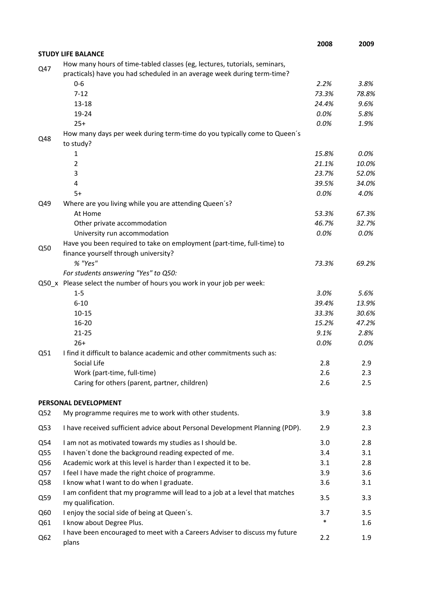|                 |                                                                                                                                                      | 2008   | 2009    |
|-----------------|------------------------------------------------------------------------------------------------------------------------------------------------------|--------|---------|
|                 | <b>STUDY LIFE BALANCE</b>                                                                                                                            |        |         |
| Q47             | How many hours of time-tabled classes (eg, lectures, tutorials, seminars,<br>practicals) have you had scheduled in an average week during term-time? |        |         |
|                 | $0 - 6$                                                                                                                                              | 2.2%   | 3.8%    |
|                 | $7 - 12$                                                                                                                                             | 73.3%  | 78.8%   |
|                 | $13 - 18$                                                                                                                                            | 24.4%  | 9.6%    |
|                 | 19-24                                                                                                                                                | 0.0%   | 5.8%    |
|                 | $25+$                                                                                                                                                | 0.0%   | 1.9%    |
| Q48             | How many days per week during term-time do you typically come to Queen's<br>to study?                                                                |        |         |
|                 | 1                                                                                                                                                    | 15.8%  | $0.0\%$ |
|                 | $\overline{2}$                                                                                                                                       | 21.1%  | 10.0%   |
|                 | 3                                                                                                                                                    | 23.7%  | 52.0%   |
|                 | 4                                                                                                                                                    | 39.5%  | 34.0%   |
|                 | $5+$                                                                                                                                                 | 0.0%   | 4.0%    |
| Q49             | Where are you living while you are attending Queen's?                                                                                                |        |         |
|                 | At Home                                                                                                                                              | 53.3%  | 67.3%   |
|                 | Other private accommodation                                                                                                                          | 46.7%  | 32.7%   |
|                 | University run accommodation                                                                                                                         | 0.0%   | 0.0%    |
| Q50             | Have you been required to take on employment (part-time, full-time) to                                                                               |        |         |
|                 | finance yourself through university?                                                                                                                 |        |         |
|                 | % "Yes"                                                                                                                                              | 73.3%  | 69.2%   |
|                 | For students answering "Yes" to Q50:                                                                                                                 |        |         |
|                 | Q50_x Please select the number of hours you work in your job per week:                                                                               |        |         |
|                 | $1 - 5$                                                                                                                                              | 3.0%   | 5.6%    |
|                 | $6 - 10$                                                                                                                                             | 39.4%  | 13.9%   |
|                 | $10 - 15$                                                                                                                                            | 33.3%  | 30.6%   |
|                 | 16-20                                                                                                                                                | 15.2%  | 47.2%   |
|                 | $21 - 25$                                                                                                                                            | 9.1%   | 2.8%    |
|                 | $26+$                                                                                                                                                | 0.0%   | 0.0%    |
| Q51             | I find it difficult to balance academic and other commitments such as:                                                                               |        |         |
|                 | Social Life                                                                                                                                          | 2.8    | 2.9     |
|                 | Work (part-time, full-time)                                                                                                                          | 2.6    | 2.3     |
|                 | Caring for others (parent, partner, children)                                                                                                        | 2.6    | 2.5     |
|                 | PERSONAL DEVELOPMENT                                                                                                                                 |        |         |
| Q52             | My programme requires me to work with other students.                                                                                                | 3.9    | 3.8     |
| Q53             | I have received sufficient advice about Personal Development Planning (PDP).                                                                         | 2.9    | 2.3     |
| Q54             | I am not as motivated towards my studies as I should be.                                                                                             | 3.0    | 2.8     |
| Q55             | I haven't done the background reading expected of me.                                                                                                | 3.4    | 3.1     |
| Q56             | Academic work at this level is harder than I expected it to be.                                                                                      | 3.1    | 2.8     |
| Q57             | I feel I have made the right choice of programme.                                                                                                    | 3.9    | 3.6     |
| Q58             | I know what I want to do when I graduate.                                                                                                            | 3.6    | 3.1     |
| Q59             | I am confident that my programme will lead to a job at a level that matches<br>my qualification.                                                     | 3.5    | 3.3     |
| Q60             | I enjoy the social side of being at Queen's.                                                                                                         | 3.7    | 3.5     |
| Q61             | I know about Degree Plus.                                                                                                                            | $\ast$ | $1.6\,$ |
| Q <sub>62</sub> | I have been encouraged to meet with a Careers Adviser to discuss my future<br>plans                                                                  | 2.2    | 1.9     |